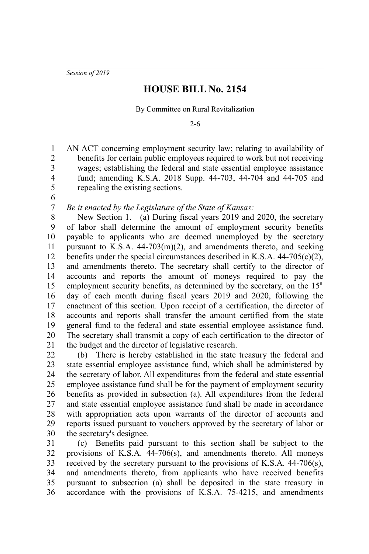*Session of 2019*

## **HOUSE BILL No. 2154**

By Committee on Rural Revitalization

2-6

AN ACT concerning employment security law; relating to availability of benefits for certain public employees required to work but not receiving wages; establishing the federal and state essential employee assistance fund; amending K.S.A. 2018 Supp. 44-703, 44-704 and 44-705 and repealing the existing sections. 1 2 3 4 5

6 7

*Be it enacted by the Legislature of the State of Kansas:*

New Section 1. (a) During fiscal years 2019 and 2020, the secretary of labor shall determine the amount of employment security benefits payable to applicants who are deemed unemployed by the secretary pursuant to K.S.A. 44-703(m)(2), and amendments thereto, and seeking benefits under the special circumstances described in K.S.A. 44-705(c)(2), and amendments thereto. The secretary shall certify to the director of accounts and reports the amount of moneys required to pay the employment security benefits, as determined by the secretary, on the  $15<sup>th</sup>$ day of each month during fiscal years 2019 and 2020, following the enactment of this section. Upon receipt of a certification, the director of accounts and reports shall transfer the amount certified from the state general fund to the federal and state essential employee assistance fund. The secretary shall transmit a copy of each certification to the director of the budget and the director of legislative research. 8 9 10 11 12 13 14 15 16 17 18 19 20 21

(b) There is hereby established in the state treasury the federal and state essential employee assistance fund, which shall be administered by the secretary of labor. All expenditures from the federal and state essential employee assistance fund shall be for the payment of employment security benefits as provided in subsection (a). All expenditures from the federal and state essential employee assistance fund shall be made in accordance with appropriation acts upon warrants of the director of accounts and reports issued pursuant to vouchers approved by the secretary of labor or the secretary's designee. 22 23 24 25 26 27 28 29 30

(c) Benefits paid pursuant to this section shall be subject to the provisions of K.S.A. 44-706(s), and amendments thereto. All moneys received by the secretary pursuant to the provisions of K.S.A. 44-706(s), and amendments thereto, from applicants who have received benefits pursuant to subsection (a) shall be deposited in the state treasury in accordance with the provisions of K.S.A. 75-4215, and amendments 31 32 33 34 35 36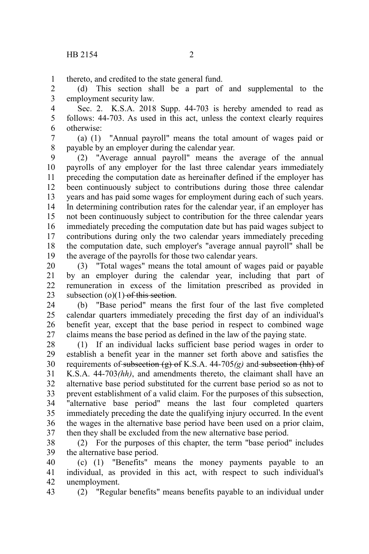thereto, and credited to the state general fund. 1

(d) This section shall be a part of and supplemental to the employment security law. 2 3

Sec. 2. K.S.A. 2018 Supp. 44-703 is hereby amended to read as follows: 44-703. As used in this act, unless the context clearly requires otherwise: 4 5 6

(a) (1) "Annual payroll" means the total amount of wages paid or payable by an employer during the calendar year. 7 8

(2) "Average annual payroll" means the average of the annual payrolls of any employer for the last three calendar years immediately preceding the computation date as hereinafter defined if the employer has been continuously subject to contributions during those three calendar years and has paid some wages for employment during each of such years. In determining contribution rates for the calendar year, if an employer has not been continuously subject to contribution for the three calendar years immediately preceding the computation date but has paid wages subject to contributions during only the two calendar years immediately preceding the computation date, such employer's "average annual payroll" shall be the average of the payrolls for those two calendar years. 9 10 11 12 13 14 15 16 17 18 19

(3) "Total wages" means the total amount of wages paid or payable by an employer during the calendar year, including that part of remuneration in excess of the limitation prescribed as provided in subsection  $(o)(1)$  of this section. 20 21 22 23

(b) "Base period" means the first four of the last five completed calendar quarters immediately preceding the first day of an individual's benefit year, except that the base period in respect to combined wage claims means the base period as defined in the law of the paying state. 24 25 26 27

(1) If an individual lacks sufficient base period wages in order to establish a benefit year in the manner set forth above and satisfies the requirements of subsection (g) of K.S.A. 44-705*(g)* and subsection (hh) of K.S.A. 44-703*(hh)*, and amendments thereto, the claimant shall have an alternative base period substituted for the current base period so as not to prevent establishment of a valid claim. For the purposes of this subsection, "alternative base period" means the last four completed quarters immediately preceding the date the qualifying injury occurred. In the event the wages in the alternative base period have been used on a prior claim, then they shall be excluded from the new alternative base period. 28 29 30 31 32 33 34 35 36 37

(2) For the purposes of this chapter, the term "base period" includes the alternative base period. 38 39

(c) (1) "Benefits" means the money payments payable to an individual, as provided in this act, with respect to such individual's unemployment. 40 41 42

43

(2) "Regular benefits" means benefits payable to an individual under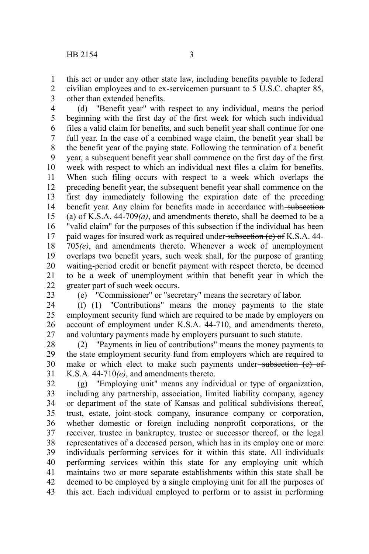this act or under any other state law, including benefits payable to federal civilian employees and to ex-servicemen pursuant to 5 U.S.C. chapter 85, other than extended benefits. 1 2 3

(d) "Benefit year" with respect to any individual, means the period beginning with the first day of the first week for which such individual files a valid claim for benefits, and such benefit year shall continue for one full year. In the case of a combined wage claim, the benefit year shall be the benefit year of the paying state. Following the termination of a benefit year, a subsequent benefit year shall commence on the first day of the first week with respect to which an individual next files a claim for benefits. When such filing occurs with respect to a week which overlaps the preceding benefit year, the subsequent benefit year shall commence on the first day immediately following the expiration date of the preceding benefit year. Any claim for benefits made in accordance with subsection (a) of K.S.A. 44-709*(a)*, and amendments thereto, shall be deemed to be a "valid claim" for the purposes of this subsection if the individual has been paid wages for insured work as required under subsection (e) of K.S.A. 44-705*(e)*, and amendments thereto. Whenever a week of unemployment overlaps two benefit years, such week shall, for the purpose of granting waiting-period credit or benefit payment with respect thereto, be deemed to be a week of unemployment within that benefit year in which the greater part of such week occurs. 4 5 6 7 8 9 10 11 12 13 14 15 16 17 18 19 20 21 22

23

(e) "Commissioner" or "secretary" means the secretary of labor.

(f) (1) "Contributions" means the money payments to the state employment security fund which are required to be made by employers on account of employment under K.S.A. 44-710, and amendments thereto, and voluntary payments made by employers pursuant to such statute. 24 25 26 27

(2) "Payments in lieu of contributions" means the money payments to the state employment security fund from employers which are required to make or which elect to make such payments under-subsection (e) of K.S.A. 44-710*(e)*, and amendments thereto. 28 29 30 31

(g) "Employing unit" means any individual or type of organization, including any partnership, association, limited liability company, agency or department of the state of Kansas and political subdivisions thereof, trust, estate, joint-stock company, insurance company or corporation, whether domestic or foreign including nonprofit corporations, or the receiver, trustee in bankruptcy, trustee or successor thereof, or the legal representatives of a deceased person, which has in its employ one or more individuals performing services for it within this state. All individuals performing services within this state for any employing unit which maintains two or more separate establishments within this state shall be deemed to be employed by a single employing unit for all the purposes of this act. Each individual employed to perform or to assist in performing 32 33 34 35 36 37 38 39 40 41 42 43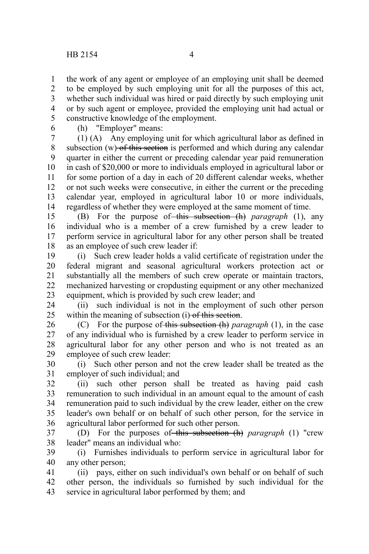the work of any agent or employee of an employing unit shall be deemed to be employed by such employing unit for all the purposes of this act, whether such individual was hired or paid directly by such employing unit or by such agent or employee, provided the employing unit had actual or constructive knowledge of the employment. 1 2 3 4 5

6

(h) "Employer" means:

(1) (A) Any employing unit for which agricultural labor as defined in subsection  $(w)$  of this section is performed and which during any calendar quarter in either the current or preceding calendar year paid remuneration in cash of \$20,000 or more to individuals employed in agricultural labor or for some portion of a day in each of 20 different calendar weeks, whether or not such weeks were consecutive, in either the current or the preceding calendar year, employed in agricultural labor 10 or more individuals, regardless of whether they were employed at the same moment of time. 7 8 9 10 11 12 13 14

(B) For the purpose of this subsection (h) *paragraph* (1), any individual who is a member of a crew furnished by a crew leader to perform service in agricultural labor for any other person shall be treated as an employee of such crew leader if: 15 16 17 18

(i) Such crew leader holds a valid certificate of registration under the federal migrant and seasonal agricultural workers protection act or substantially all the members of such crew operate or maintain tractors, mechanized harvesting or cropdusting equipment or any other mechanized equipment, which is provided by such crew leader; and 19 20 21 22 23

(ii) such individual is not in the employment of such other person within the meaning of subsection (i) of this section. 24 25

(C) For the purpose of this subsection (h) *paragraph* (1), in the case of any individual who is furnished by a crew leader to perform service in agricultural labor for any other person and who is not treated as an employee of such crew leader: 26 27 28 29

(i) Such other person and not the crew leader shall be treated as the employer of such individual; and 30 31

(ii) such other person shall be treated as having paid cash remuneration to such individual in an amount equal to the amount of cash remuneration paid to such individual by the crew leader, either on the crew leader's own behalf or on behalf of such other person, for the service in agricultural labor performed for such other person. 32 33 34 35 36

(D) For the purposes of this subsection (h) *paragraph* (1) "crew leader" means an individual who: 37 38

(i) Furnishes individuals to perform service in agricultural labor for any other person; 39 40

(ii) pays, either on such individual's own behalf or on behalf of such other person, the individuals so furnished by such individual for the service in agricultural labor performed by them; and 41 42 43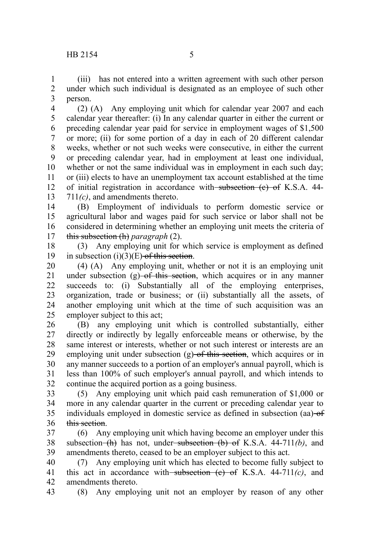(iii) has not entered into a written agreement with such other person under which such individual is designated as an employee of such other person. 1 2 3

(2) (A) Any employing unit which for calendar year 2007 and each calendar year thereafter: (i) In any calendar quarter in either the current or preceding calendar year paid for service in employment wages of \$1,500 or more; (ii) for some portion of a day in each of 20 different calendar weeks, whether or not such weeks were consecutive, in either the current or preceding calendar year, had in employment at least one individual, whether or not the same individual was in employment in each such day; or (iii) elects to have an unemployment tax account established at the time of initial registration in accordance with subsection (e) of K.S.A. 44-711*(c)*, and amendments thereto. 4 5 6 7 8 9 10 11 12 13

(B) Employment of individuals to perform domestic service or agricultural labor and wages paid for such service or labor shall not be considered in determining whether an employing unit meets the criteria of this subsection (h) *paragraph* (2). 14 15 16 17

(3) Any employing unit for which service is employment as defined in subsection  $(i)(3)(E)$  of this section. 18 19

(4) (A) Any employing unit, whether or not it is an employing unit under subsection  $(g)$  of this section, which acquires or in any manner succeeds to: (i) Substantially all of the employing enterprises, organization, trade or business; or (ii) substantially all the assets, of another employing unit which at the time of such acquisition was an employer subject to this act; 20 21 22 23 24 25

(B) any employing unit which is controlled substantially, either directly or indirectly by legally enforceable means or otherwise, by the same interest or interests, whether or not such interest or interests are an employing unit under subsection  $(g)$  of this section, which acquires or in any manner succeeds to a portion of an employer's annual payroll, which is less than 100% of such employer's annual payroll, and which intends to continue the acquired portion as a going business. 26 27 28 29 30 31 32

(5) Any employing unit which paid cash remuneration of \$1,000 or more in any calendar quarter in the current or preceding calendar year to individuals employed in domestic service as defined in subsection (aa) of this section. 33 34 35 36

(6) Any employing unit which having become an employer under this subsection (h) has not, under subsection (b) of K.S.A. 44-711*(b)*, and amendments thereto, ceased to be an employer subject to this act. 37 38 39

(7) Any employing unit which has elected to become fully subject to this act in accordance with subsection  $(e)$  of K.S.A. 44-711 $(c)$ , and amendments thereto. 40 41 42

(8) Any employing unit not an employer by reason of any other 43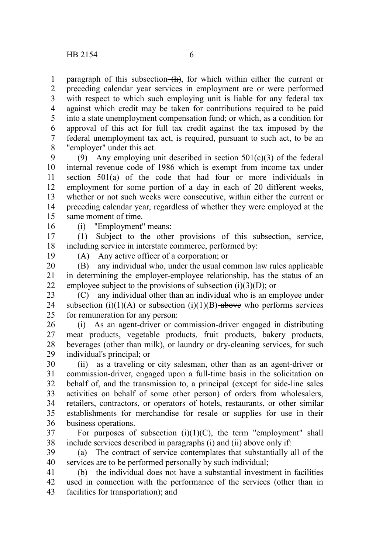paragraph of this subsection  $(h)$ , for which within either the current or preceding calendar year services in employment are or were performed with respect to which such employing unit is liable for any federal tax against which credit may be taken for contributions required to be paid into a state unemployment compensation fund; or which, as a condition for approval of this act for full tax credit against the tax imposed by the federal unemployment tax act, is required, pursuant to such act, to be an "employer" under this act. 1 2 3 4 5 6 7 8

(9) Any employing unit described in section  $501(c)(3)$  of the federal internal revenue code of 1986 which is exempt from income tax under section 501(a) of the code that had four or more individuals in employment for some portion of a day in each of 20 different weeks, whether or not such weeks were consecutive, within either the current or preceding calendar year, regardless of whether they were employed at the same moment of time. 9 10 11 12 13 14 15

16

(i) "Employment" means:

(1) Subject to the other provisions of this subsection, service, including service in interstate commerce, performed by: 17 18

19

(A) Any active officer of a corporation; or

(B) any individual who, under the usual common law rules applicable in determining the employer-employee relationship, has the status of an employee subject to the provisions of subsection  $(i)(3)(D)$ ; or 20 21 22

(C) any individual other than an individual who is an employee under subsection (i)(1)(A) or subsection (i)(1)(B) above who performs services for remuneration for any person: 23 24 25

(i) As an agent-driver or commission-driver engaged in distributing meat products, vegetable products, fruit products, bakery products, beverages (other than milk), or laundry or dry-cleaning services, for such individual's principal; or 26 27 28 29

(ii) as a traveling or city salesman, other than as an agent-driver or commission-driver, engaged upon a full-time basis in the solicitation on behalf of, and the transmission to, a principal (except for side-line sales activities on behalf of some other person) of orders from wholesalers, retailers, contractors, or operators of hotels, restaurants, or other similar establishments for merchandise for resale or supplies for use in their business operations. 30 31 32 33 34 35 36

For purposes of subsection  $(i)(1)(C)$ , the term "employment" shall include services described in paragraphs (i) and (ii) above only if: 37 38

(a) The contract of service contemplates that substantially all of the services are to be performed personally by such individual; 39 40

(b) the individual does not have a substantial investment in facilities used in connection with the performance of the services (other than in facilities for transportation); and 41 42 43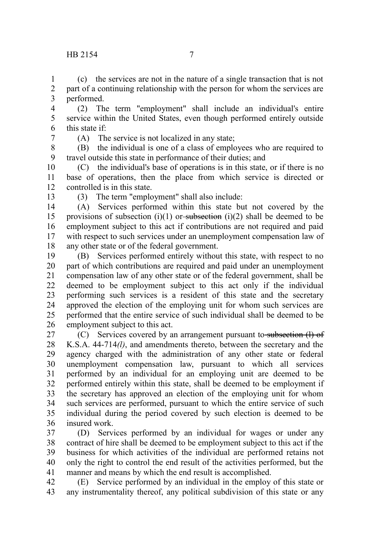(c) the services are not in the nature of a single transaction that is not part of a continuing relationship with the person for whom the services are performed. 1 2 3

- (2) The term "employment" shall include an individual's entire service within the United States, even though performed entirely outside this state if: 4 5 6
- 7

(A) The service is not localized in any state;

(B) the individual is one of a class of employees who are required to travel outside this state in performance of their duties; and 8 9

(C) the individual's base of operations is in this state, or if there is no base of operations, then the place from which service is directed or controlled is in this state. 10 11 12

13

(3) The term "employment" shall also include:

(A) Services performed within this state but not covered by the provisions of subsection (i)(1) or subsection (i)(2) shall be deemed to be employment subject to this act if contributions are not required and paid with respect to such services under an unemployment compensation law of any other state or of the federal government. 14 15 16 17 18

(B) Services performed entirely without this state, with respect to no part of which contributions are required and paid under an unemployment compensation law of any other state or of the federal government, shall be deemed to be employment subject to this act only if the individual performing such services is a resident of this state and the secretary approved the election of the employing unit for whom such services are performed that the entire service of such individual shall be deemed to be employment subject to this act. 19 20 21 22 23 24 25 26

(C) Services covered by an arrangement pursuant to subsection (I) of K.S.A. 44-714*(l)*, and amendments thereto, between the secretary and the agency charged with the administration of any other state or federal unemployment compensation law, pursuant to which all services performed by an individual for an employing unit are deemed to be performed entirely within this state, shall be deemed to be employment if the secretary has approved an election of the employing unit for whom such services are performed, pursuant to which the entire service of such individual during the period covered by such election is deemed to be insured work. 27 28 29 30 31 32 33 34 35 36

(D) Services performed by an individual for wages or under any contract of hire shall be deemed to be employment subject to this act if the business for which activities of the individual are performed retains not only the right to control the end result of the activities performed, but the manner and means by which the end result is accomplished. 37 38 39 40 41

(E) Service performed by an individual in the employ of this state or any instrumentality thereof, any political subdivision of this state or any 42 43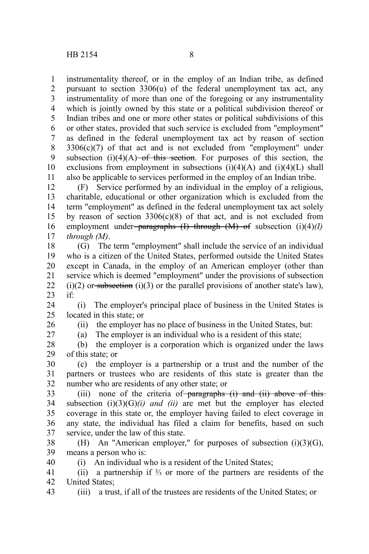26 27

instrumentality thereof, or in the employ of an Indian tribe, as defined pursuant to section 3306(u) of the federal unemployment tax act, any instrumentality of more than one of the foregoing or any instrumentality which is jointly owned by this state or a political subdivision thereof or Indian tribes and one or more other states or political subdivisions of this or other states, provided that such service is excluded from "employment" as defined in the federal unemployment tax act by reason of section  $3306(c)(7)$  of that act and is not excluded from "employment" under subsection  $(i)(4)(A)$  of this section. For purposes of this section, the exclusions from employment in subsections  $(i)(4)(A)$  and  $(i)(4)(L)$  shall also be applicable to services performed in the employ of an Indian tribe. 1 2 3 4 5 6 7 8 9 10 11

(F) Service performed by an individual in the employ of a religious, charitable, educational or other organization which is excluded from the term "employment" as defined in the federal unemployment tax act solely by reason of section  $3306(c)(8)$  of that act, and is not excluded from employment under paragraphs (I) through (M) of subsection (i)(4)*(I) through (M)*. 12 13 14 15 16 17

(G) The term "employment" shall include the service of an individual who is a citizen of the United States, performed outside the United States except in Canada, in the employ of an American employer (other than service which is deemed "employment" under the provisions of subsection  $(i)(2)$  or subsection  $(i)(3)$  or the parallel provisions of another state's law), if: 18 19 20 21 22 23

(i) The employer's principal place of business in the United States is located in this state; or 24 25

(ii) the employer has no place of business in the United States, but:

(a) The employer is an individual who is a resident of this state;

(b) the employer is a corporation which is organized under the laws of this state; or 28 29

(c) the employer is a partnership or a trust and the number of the partners or trustees who are residents of this state is greater than the number who are residents of any other state; or 30 31 32

(iii) none of the criteria of paragraphs  $(i)$  and  $(ii)$  above of this subsection  $(i)(3)(G)(i)$  *and (ii)* are met but the employer has elected coverage in this state or, the employer having failed to elect coverage in any state, the individual has filed a claim for benefits, based on such service, under the law of this state. 33 34 35 36 37

(H) An "American employer," for purposes of subsection (i)(3)(G), means a person who is: 38 39 40

(i) An individual who is a resident of the United States;

(ii) a partnership if ⅔ or more of the partners are residents of the United States; 41 42

(iii) a trust, if all of the trustees are residents of the United States; or 43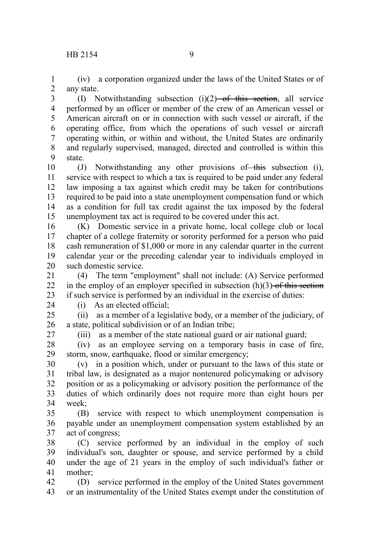(iv) a corporation organized under the laws of the United States or of any state. 1 2

(I) Notwithstanding subsection (i)(2) of this section, all service performed by an officer or member of the crew of an American vessel or American aircraft on or in connection with such vessel or aircraft, if the operating office, from which the operations of such vessel or aircraft operating within, or within and without, the United States are ordinarily and regularly supervised, managed, directed and controlled is within this state. 3 4 5 6 7 8 9

(J) Notwithstanding any other provisions of this subsection (i), service with respect to which a tax is required to be paid under any federal law imposing a tax against which credit may be taken for contributions required to be paid into a state unemployment compensation fund or which as a condition for full tax credit against the tax imposed by the federal unemployment tax act is required to be covered under this act. 10 11 12 13 14 15

(K) Domestic service in a private home, local college club or local chapter of a college fraternity or sorority performed for a person who paid cash remuneration of \$1,000 or more in any calendar quarter in the current calendar year or the preceding calendar year to individuals employed in such domestic service. 16 17 18 19 20

(4) The term "employment" shall not include: (A) Service performed in the employ of an employer specified in subsection  $(h)(3)$  of this section if such service is performed by an individual in the exercise of duties: 21 22 23

24

(i) As an elected official;

(ii) as a member of a legislative body, or a member of the judiciary, of a state, political subdivision or of an Indian tribe;  $25$ 26

27

(iii) as a member of the state national guard or air national guard;

(iv) as an employee serving on a temporary basis in case of fire, storm, snow, earthquake, flood or similar emergency; 28 29

(v) in a position which, under or pursuant to the laws of this state or tribal law, is designated as a major nontenured policymaking or advisory position or as a policymaking or advisory position the performance of the duties of which ordinarily does not require more than eight hours per week<sup>.</sup> 30 31 32 33 34

(B) service with respect to which unemployment compensation is payable under an unemployment compensation system established by an act of congress; 35 36 37

(C) service performed by an individual in the employ of such individual's son, daughter or spouse, and service performed by a child under the age of 21 years in the employ of such individual's father or mother; 38 39 40 41

(D) service performed in the employ of the United States government or an instrumentality of the United States exempt under the constitution of 42 43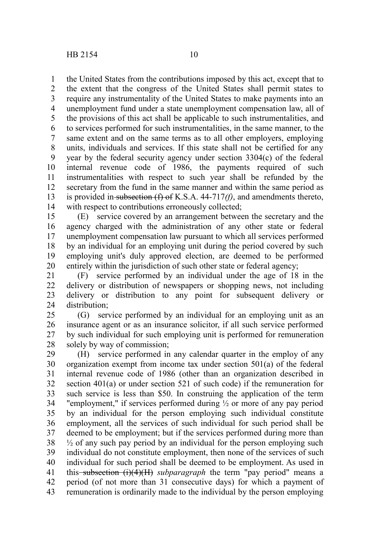1

5

the United States from the contributions imposed by this act, except that to the extent that the congress of the United States shall permit states to require any instrumentality of the United States to make payments into an unemployment fund under a state unemployment compensation law, all of the provisions of this act shall be applicable to such instrumentalities, and to services performed for such instrumentalities, in the same manner, to the same extent and on the same terms as to all other employers, employing units, individuals and services. If this state shall not be certified for any year by the federal security agency under section 3304(c) of the federal internal revenue code of 1986, the payments required of such instrumentalities with respect to such year shall be refunded by the secretary from the fund in the same manner and within the same period as 2 3 4 6 7 8 9 10 11 12

is provided in subsection (f) of K.S.A. 44-717*(f)*, and amendments thereto, with respect to contributions erroneously collected; 13 14

(E) service covered by an arrangement between the secretary and the agency charged with the administration of any other state or federal unemployment compensation law pursuant to which all services performed by an individual for an employing unit during the period covered by such employing unit's duly approved election, are deemed to be performed entirely within the jurisdiction of such other state or federal agency; 15 16 17 18 19 20

(F) service performed by an individual under the age of 18 in the delivery or distribution of newspapers or shopping news, not including delivery or distribution to any point for subsequent delivery or distribution; 21 22 23 24

(G) service performed by an individual for an employing unit as an insurance agent or as an insurance solicitor, if all such service performed by such individual for such employing unit is performed for remuneration solely by way of commission; 25 26 27 28

(H) service performed in any calendar quarter in the employ of any organization exempt from income tax under section 501(a) of the federal internal revenue code of 1986 (other than an organization described in section 401(a) or under section 521 of such code) if the remuneration for such service is less than \$50. In construing the application of the term "employment," if services performed during ½ or more of any pay period by an individual for the person employing such individual constitute employment, all the services of such individual for such period shall be deemed to be employment; but if the services performed during more than  $\frac{1}{2}$  of any such pay period by an individual for the person employing such individual do not constitute employment, then none of the services of such individual for such period shall be deemed to be employment. As used in this subsection  $(i)(4)(H)$  *subparagraph* the term "pay period" means a period (of not more than 31 consecutive days) for which a payment of remuneration is ordinarily made to the individual by the person employing 29 30 31 32 33 34 35 36 37 38 39 40 41 42 43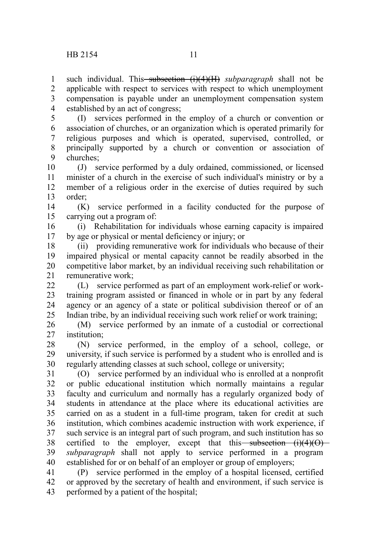1

such individual. This<del> subsection (i)(4)(H)</del> subparagraph shall not be

applicable with respect to services with respect to which unemployment compensation is payable under an unemployment compensation system established by an act of congress; 2 3 4

(I) services performed in the employ of a church or convention or association of churches, or an organization which is operated primarily for religious purposes and which is operated, supervised, controlled, or principally supported by a church or convention or association of churches; 5 6 7 8 9

(J) service performed by a duly ordained, commissioned, or licensed minister of a church in the exercise of such individual's ministry or by a member of a religious order in the exercise of duties required by such order; 10 11 12 13

(K) service performed in a facility conducted for the purpose of carrying out a program of: 14 15

(i) Rehabilitation for individuals whose earning capacity is impaired by age or physical or mental deficiency or injury; or 16 17

(ii) providing remunerative work for individuals who because of their impaired physical or mental capacity cannot be readily absorbed in the competitive labor market, by an individual receiving such rehabilitation or remunerative work; 18 19 20 21

(L) service performed as part of an employment work-relief or worktraining program assisted or financed in whole or in part by any federal agency or an agency of a state or political subdivision thereof or of an Indian tribe, by an individual receiving such work relief or work training;  $22$ 23 24 25

(M) service performed by an inmate of a custodial or correctional institution; 26 27

(N) service performed, in the employ of a school, college, or university, if such service is performed by a student who is enrolled and is regularly attending classes at such school, college or university; 28 29 30

(O) service performed by an individual who is enrolled at a nonprofit or public educational institution which normally maintains a regular faculty and curriculum and normally has a regularly organized body of students in attendance at the place where its educational activities are carried on as a student in a full-time program, taken for credit at such institution, which combines academic instruction with work experience, if such service is an integral part of such program, and such institution has so certified to the employer, except that this subsection  $(i)(4)(0)$ *subparagraph* shall not apply to service performed in a program established for or on behalf of an employer or group of employers; 31 32 33 34 35 36 37 38 39 40

(P) service performed in the employ of a hospital licensed, certified or approved by the secretary of health and environment, if such service is performed by a patient of the hospital; 41 42 43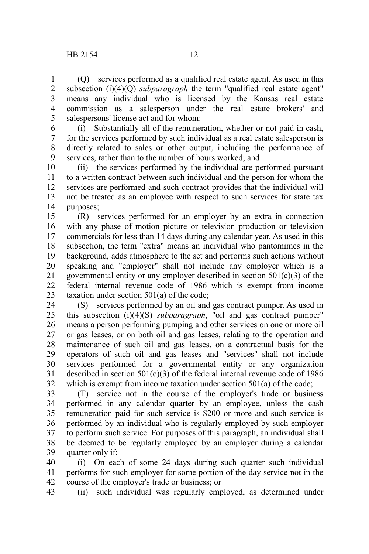(Q) services performed as a qualified real estate agent. As used in this subsection (i)(4)(Q) *subparagraph* the term "qualified real estate agent" means any individual who is licensed by the Kansas real estate commission as a salesperson under the real estate brokers' and salespersons' license act and for whom: 1 2 3 4 5

(i) Substantially all of the remuneration, whether or not paid in cash, for the services performed by such individual as a real estate salesperson is directly related to sales or other output, including the performance of services, rather than to the number of hours worked; and 6 7 8 9

(ii) the services performed by the individual are performed pursuant to a written contract between such individual and the person for whom the services are performed and such contract provides that the individual will not be treated as an employee with respect to such services for state tax purposes; 10 11 12 13 14

(R) services performed for an employer by an extra in connection with any phase of motion picture or television production or television commercials for less than 14 days during any calendar year. As used in this subsection, the term "extra" means an individual who pantomimes in the background, adds atmosphere to the set and performs such actions without speaking and "employer" shall not include any employer which is a governmental entity or any employer described in section  $501(c)(3)$  of the federal internal revenue code of 1986 which is exempt from income taxation under section 501(a) of the code; 15 16 17 18 19 20 21 22 23

(S) services performed by an oil and gas contract pumper. As used in this<del>-subsection (i)(4)(S)</del> subparagraph, "oil and gas contract pumper" means a person performing pumping and other services on one or more oil or gas leases, or on both oil and gas leases, relating to the operation and maintenance of such oil and gas leases, on a contractual basis for the operators of such oil and gas leases and "services" shall not include services performed for a governmental entity or any organization described in section  $501(c)(3)$  of the federal internal revenue code of 1986 which is exempt from income taxation under section 501(a) of the code; 24 25 26 27 28 29 30 31 32

(T) service not in the course of the employer's trade or business performed in any calendar quarter by an employee, unless the cash remuneration paid for such service is \$200 or more and such service is performed by an individual who is regularly employed by such employer to perform such service. For purposes of this paragraph, an individual shall be deemed to be regularly employed by an employer during a calendar quarter only if: 33 34 35 36 37 38 39

(i) On each of some 24 days during such quarter such individual performs for such employer for some portion of the day service not in the course of the employer's trade or business; or 40 41 42

(ii) such individual was regularly employed, as determined under 43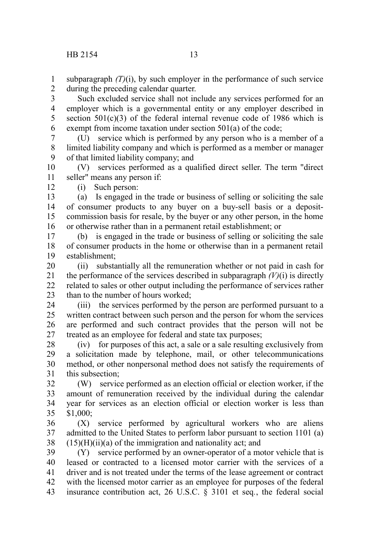subparagraph  $(T)(i)$ , by such employer in the performance of such service during the preceding calendar quarter. 1 2

Such excluded service shall not include any services performed for an employer which is a governmental entity or any employer described in section  $501(c)(3)$  of the federal internal revenue code of 1986 which is exempt from income taxation under section 501(a) of the code; 3 4 5 6

(U) service which is performed by any person who is a member of a limited liability company and which is performed as a member or manager of that limited liability company; and 7 8 9

(V) services performed as a qualified direct seller. The term "direct seller" means any person if: 10 11

(i) Such person:

12

(a) Is engaged in the trade or business of selling or soliciting the sale of consumer products to any buyer on a buy-sell basis or a depositcommission basis for resale, by the buyer or any other person, in the home or otherwise rather than in a permanent retail establishment; or 13 14 15 16

(b) is engaged in the trade or business of selling or soliciting the sale of consumer products in the home or otherwise than in a permanent retail establishment; 17 18 19

(ii) substantially all the remuneration whether or not paid in cash for the performance of the services described in subparagraph  $(V)(i)$  is directly related to sales or other output including the performance of services rather than to the number of hours worked; 20 21 22 23

(iii) the services performed by the person are performed pursuant to a written contract between such person and the person for whom the services are performed and such contract provides that the person will not be treated as an employee for federal and state tax purposes; 24 25 26 27

(iv) for purposes of this act, a sale or a sale resulting exclusively from a solicitation made by telephone, mail, or other telecommunications method, or other nonpersonal method does not satisfy the requirements of this subsection; 28 29 30 31

(W) service performed as an election official or election worker, if the amount of remuneration received by the individual during the calendar year for services as an election official or election worker is less than \$1,000; 32 33 34 35

(X) service performed by agricultural workers who are aliens admitted to the United States to perform labor pursuant to section 1101 (a)  $(15)(H)(ii)(a)$  of the immigration and nationality act; and 36 37 38

(Y) service performed by an owner-operator of a motor vehicle that is leased or contracted to a licensed motor carrier with the services of a driver and is not treated under the terms of the lease agreement or contract with the licensed motor carrier as an employee for purposes of the federal insurance contribution act, 26 U.S.C. § 3101 et seq*.*, the federal social 39 40 41 42 43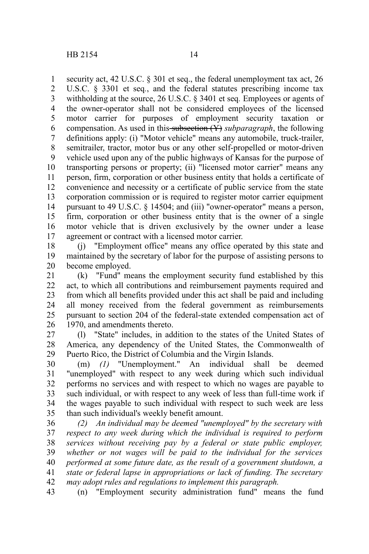security act, 42 U.S.C. § 301 et seq., the federal unemployment tax act, 26 U.S.C. § 3301 et seq*.*, and the federal statutes prescribing income tax withholding at the source, 26 U.S.C. § 3401 et seq*.* Employees or agents of the owner-operator shall not be considered employees of the licensed motor carrier for purposes of employment security taxation or compensation. As used in this subsection (Y) *subparagraph*, the following definitions apply: (i) "Motor vehicle" means any automobile, truck-trailer, semitrailer, tractor, motor bus or any other self-propelled or motor-driven vehicle used upon any of the public highways of Kansas for the purpose of transporting persons or property; (ii) "licensed motor carrier" means any person, firm, corporation or other business entity that holds a certificate of convenience and necessity or a certificate of public service from the state corporation commission or is required to register motor carrier equipment pursuant to 49 U.S.C. § 14504; and (iii) "owner-operator" means a person, firm, corporation or other business entity that is the owner of a single motor vehicle that is driven exclusively by the owner under a lease agreement or contract with a licensed motor carrier. 1 2 3 4 5 6 7 8 9 10 11 12 13 14 15 16 17

(j) "Employment office" means any office operated by this state and maintained by the secretary of labor for the purpose of assisting persons to become employed. 18 19 20

(k) "Fund" means the employment security fund established by this act, to which all contributions and reimbursement payments required and from which all benefits provided under this act shall be paid and including all money received from the federal government as reimbursements pursuant to section 204 of the federal-state extended compensation act of 1970, and amendments thereto. 21 22 23 24 25 26

(l) "State" includes, in addition to the states of the United States of America, any dependency of the United States, the Commonwealth of Puerto Rico, the District of Columbia and the Virgin Islands. 27 28 29

(m) *(1)* "Unemployment." An individual shall be deemed "unemployed" with respect to any week during which such individual performs no services and with respect to which no wages are payable to such individual, or with respect to any week of less than full-time work if the wages payable to such individual with respect to such week are less than such individual's weekly benefit amount. 30 31 32 33 34 35

*(2) An individual may be deemed "unemployed" by the secretary with respect to any week during which the individual is required to perform services without receiving pay by a federal or state public employer, whether or not wages will be paid to the individual for the services performed at some future date, as the result of a government shutdown, a state or federal lapse in appropriations or lack of funding. The secretary may adopt rules and regulations to implement this paragraph.* 36 37 38 39 40 41 42

(n) "Employment security administration fund" means the fund 43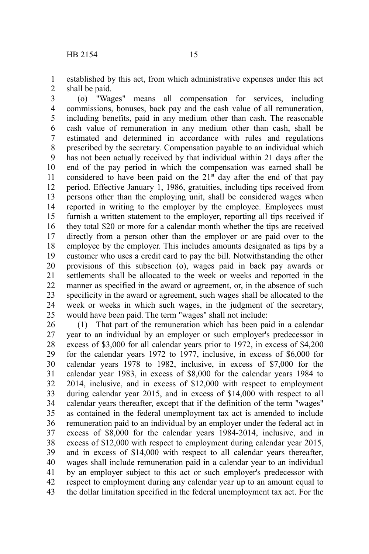established by this act, from which administrative expenses under this act shall be paid. 1 2

(o) "Wages" means all compensation for services, including commissions, bonuses, back pay and the cash value of all remuneration, including benefits, paid in any medium other than cash. The reasonable cash value of remuneration in any medium other than cash, shall be estimated and determined in accordance with rules and regulations prescribed by the secretary. Compensation payable to an individual which has not been actually received by that individual within 21 days after the end of the pay period in which the compensation was earned shall be considered to have been paid on the  $21<sup>st</sup>$  day after the end of that pay period. Effective January 1, 1986, gratuities, including tips received from persons other than the employing unit, shall be considered wages when reported in writing to the employer by the employee. Employees must furnish a written statement to the employer, reporting all tips received if they total \$20 or more for a calendar month whether the tips are received directly from a person other than the employer or are paid over to the employee by the employer. This includes amounts designated as tips by a customer who uses a credit card to pay the bill. Notwithstanding the other provisions of this subsection  $\left\{ \Theta \right\}$ , wages paid in back pay awards or settlements shall be allocated to the week or weeks and reported in the manner as specified in the award or agreement, or, in the absence of such specificity in the award or agreement, such wages shall be allocated to the week or weeks in which such wages, in the judgment of the secretary, would have been paid. The term "wages" shall not include: 3 4 5 6 7 8 9 10 11 12 13 14 15 16 17 18 19 20 21 22 23 24 25

(1) That part of the remuneration which has been paid in a calendar year to an individual by an employer or such employer's predecessor in excess of \$3,000 for all calendar years prior to 1972, in excess of \$4,200 for the calendar years 1972 to 1977, inclusive, in excess of \$6,000 for calendar years 1978 to 1982, inclusive, in excess of \$7,000 for the calendar year 1983, in excess of \$8,000 for the calendar years 1984 to 2014, inclusive, and in excess of \$12,000 with respect to employment during calendar year 2015, and in excess of \$14,000 with respect to all calendar years thereafter, except that if the definition of the term "wages" as contained in the federal unemployment tax act is amended to include remuneration paid to an individual by an employer under the federal act in excess of \$8,000 for the calendar years 1984-2014, inclusive, and in excess of \$12,000 with respect to employment during calendar year 2015, and in excess of \$14,000 with respect to all calendar years thereafter, wages shall include remuneration paid in a calendar year to an individual by an employer subject to this act or such employer's predecessor with respect to employment during any calendar year up to an amount equal to the dollar limitation specified in the federal unemployment tax act. For the 26 27 28 29 30 31 32 33 34 35 36 37 38 39 40 41 42 43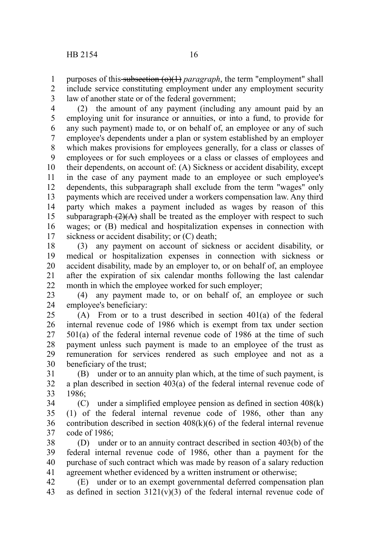purposes of this subsection (o)(1) *paragraph*, the term "employment" shall include service constituting employment under any employment security law of another state or of the federal government; 1 2 3

(2) the amount of any payment (including any amount paid by an employing unit for insurance or annuities, or into a fund, to provide for any such payment) made to, or on behalf of, an employee or any of such employee's dependents under a plan or system established by an employer which makes provisions for employees generally, for a class or classes of employees or for such employees or a class or classes of employees and their dependents, on account of: (A) Sickness or accident disability, except in the case of any payment made to an employee or such employee's dependents, this subparagraph shall exclude from the term "wages" only payments which are received under a workers compensation law. Any third party which makes a payment included as wages by reason of this subparagraph  $(2)(A)$  shall be treated as the employer with respect to such wages; or (B) medical and hospitalization expenses in connection with sickness or accident disability; or (C) death; 4 5 6 7 8 9 10 11 12 13 14 15 16 17

(3) any payment on account of sickness or accident disability, or medical or hospitalization expenses in connection with sickness or accident disability, made by an employer to, or on behalf of, an employee after the expiration of six calendar months following the last calendar month in which the employee worked for such employer; 18 19 20 21 22

(4) any payment made to, or on behalf of, an employee or such employee's beneficiary: 23 24

(A) From or to a trust described in section 401(a) of the federal internal revenue code of 1986 which is exempt from tax under section 501(a) of the federal internal revenue code of 1986 at the time of such payment unless such payment is made to an employee of the trust as remuneration for services rendered as such employee and not as a beneficiary of the trust; 25 26 27 28 29 30

(B) under or to an annuity plan which, at the time of such payment, is a plan described in section 403(a) of the federal internal revenue code of 1986; 31 32 33

(C) under a simplified employee pension as defined in section 408(k) (1) of the federal internal revenue code of 1986, other than any contribution described in section  $408(k)(6)$  of the federal internal revenue code of 1986; 34 35 36 37

(D) under or to an annuity contract described in section 403(b) of the federal internal revenue code of 1986, other than a payment for the purchase of such contract which was made by reason of a salary reduction agreement whether evidenced by a written instrument or otherwise; 38 39 40 41

(E) under or to an exempt governmental deferred compensation plan as defined in section  $3121(v)(3)$  of the federal internal revenue code of 42 43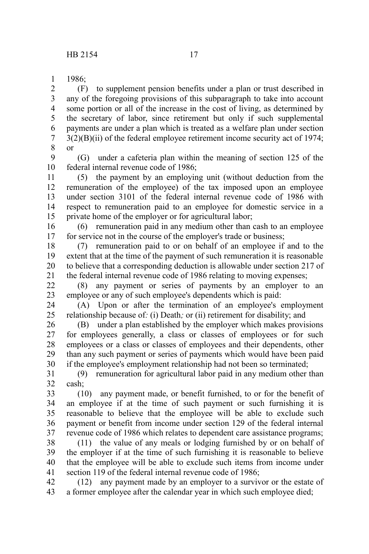1986; 1

(F) to supplement pension benefits under a plan or trust described in any of the foregoing provisions of this subparagraph to take into account some portion or all of the increase in the cost of living, as determined by the secretary of labor, since retirement but only if such supplemental payments are under a plan which is treated as a welfare plan under section  $3(2)(B)(ii)$  of the federal employee retirement income security act of 1974; or 2 3 4 5 6 7 8

(G) under a cafeteria plan within the meaning of section 125 of the federal internal revenue code of 1986; 9 10

(5) the payment by an employing unit (without deduction from the remuneration of the employee) of the tax imposed upon an employee under section 3101 of the federal internal revenue code of 1986 with respect to remuneration paid to an employee for domestic service in a private home of the employer or for agricultural labor; 11 12 13 14 15

(6) remuneration paid in any medium other than cash to an employee for service not in the course of the employer's trade or business; 16 17

(7) remuneration paid to or on behalf of an employee if and to the extent that at the time of the payment of such remuneration it is reasonable to believe that a corresponding deduction is allowable under section 217 of the federal internal revenue code of 1986 relating to moving expenses; 18 19 20 21

(8) any payment or series of payments by an employer to an employee or any of such employee's dependents which is paid: 22 23

(A) Upon or after the termination of an employee's employment relationship because of*:* (i) Death*;* or (ii) retirement for disability; and 24 25

(B) under a plan established by the employer which makes provisions for employees generally, a class or classes of employees or for such employees or a class or classes of employees and their dependents, other than any such payment or series of payments which would have been paid if the employee's employment relationship had not been so terminated; 26 27 28 29 30

(9) remuneration for agricultural labor paid in any medium other than cash; 31 32

(10) any payment made, or benefit furnished, to or for the benefit of an employee if at the time of such payment or such furnishing it is reasonable to believe that the employee will be able to exclude such payment or benefit from income under section 129 of the federal internal revenue code of 1986 which relates to dependent care assistance programs; 33 34 35 36 37

(11) the value of any meals or lodging furnished by or on behalf of the employer if at the time of such furnishing it is reasonable to believe that the employee will be able to exclude such items from income under section 119 of the federal internal revenue code of 1986: 38 39 40 41

(12) any payment made by an employer to a survivor or the estate of a former employee after the calendar year in which such employee died; 42 43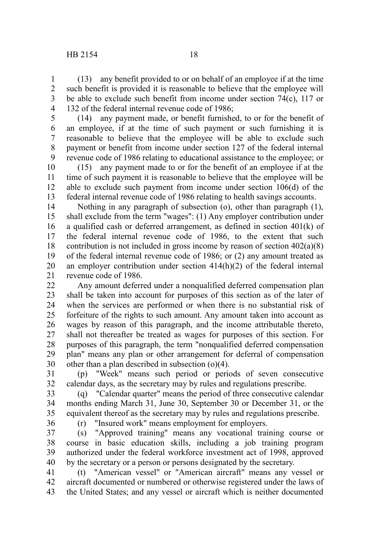(13) any benefit provided to or on behalf of an employee if at the time such benefit is provided it is reasonable to believe that the employee will be able to exclude such benefit from income under section 74(c), 117 or 132 of the federal internal revenue code of 1986; 1 2 3 4

(14) any payment made, or benefit furnished, to or for the benefit of an employee, if at the time of such payment or such furnishing it is reasonable to believe that the employee will be able to exclude such payment or benefit from income under section 127 of the federal internal revenue code of 1986 relating to educational assistance to the employee; or 5 6 7 8 9

(15) any payment made to or for the benefit of an employee if at the time of such payment it is reasonable to believe that the employee will be able to exclude such payment from income under section 106(d) of the federal internal revenue code of 1986 relating to health savings accounts. 10 11 12 13

Nothing in any paragraph of subsection (o), other than paragraph (1), shall exclude from the term "wages": (1) Any employer contribution under a qualified cash or deferred arrangement, as defined in section 401(k) of the federal internal revenue code of 1986, to the extent that such contribution is not included in gross income by reason of section 402(a)(8) of the federal internal revenue code of 1986; or (2) any amount treated as an employer contribution under section 414(h)(2) of the federal internal revenue code of 1986. 14 15 16 17 18 19 20 21

Any amount deferred under a nonqualified deferred compensation plan shall be taken into account for purposes of this section as of the later of when the services are performed or when there is no substantial risk of forfeiture of the rights to such amount. Any amount taken into account as wages by reason of this paragraph, and the income attributable thereto, shall not thereafter be treated as wages for purposes of this section. For purposes of this paragraph, the term "nonqualified deferred compensation plan" means any plan or other arrangement for deferral of compensation other than a plan described in subsection (o)(4). 22 23 24 25 26 27 28 29 30

(p) "Week" means such period or periods of seven consecutive calendar days, as the secretary may by rules and regulations prescribe. 31 32

(q) "Calendar quarter" means the period of three consecutive calendar months ending March 31, June 30, September 30 or December 31, or the equivalent thereof as the secretary may by rules and regulations prescribe. 33 34 35 36

(r) "Insured work" means employment for employers.

(s) "Approved training" means any vocational training course or course in basic education skills, including a job training program authorized under the federal workforce investment act of 1998, approved by the secretary or a person or persons designated by the secretary. 37 38 39 40

(t) "American vessel" or "American aircraft" means any vessel or aircraft documented or numbered or otherwise registered under the laws of the United States; and any vessel or aircraft which is neither documented 41 42 43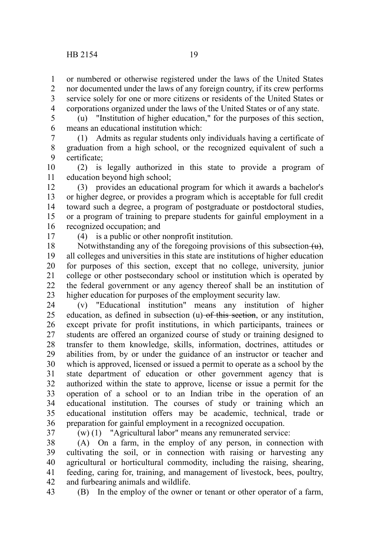or numbered or otherwise registered under the laws of the United States nor documented under the laws of any foreign country, if its crew performs service solely for one or more citizens or residents of the United States or corporations organized under the laws of the United States or of any state. 1 2 3 4

(u) "Institution of higher education," for the purposes of this section, means an educational institution which: 5 6

(1) Admits as regular students only individuals having a certificate of graduation from a high school, or the recognized equivalent of such a certificate; 7 8 9

(2) is legally authorized in this state to provide a program of education beyond high school; 10 11

(3) provides an educational program for which it awards a bachelor's or higher degree, or provides a program which is acceptable for full credit toward such a degree, a program of postgraduate or postdoctoral studies, or a program of training to prepare students for gainful employment in a recognized occupation; and 12 13 14 15 16

17

(4) is a public or other nonprofit institution.

Notwithstanding any of the foregoing provisions of this subsection  $\left(\frac{u}{v}\right)$ , all colleges and universities in this state are institutions of higher education for purposes of this section, except that no college, university, junior college or other postsecondary school or institution which is operated by the federal government or any agency thereof shall be an institution of higher education for purposes of the employment security law. 18 19 20 21 22 23

(v) "Educational institution" means any institution of higher education, as defined in subsection  $(u)$  of this section, or any institution, except private for profit institutions, in which participants, trainees or students are offered an organized course of study or training designed to transfer to them knowledge, skills, information, doctrines, attitudes or abilities from, by or under the guidance of an instructor or teacher and which is approved, licensed or issued a permit to operate as a school by the state department of education or other government agency that is authorized within the state to approve, license or issue a permit for the operation of a school or to an Indian tribe in the operation of an educational institution. The courses of study or training which an educational institution offers may be academic, technical, trade or preparation for gainful employment in a recognized occupation. 24 25 26 27 28 29 30 31 32 33 34 35 36

37

(w) (1) "Agricultural labor" means any remunerated service:

(A) On a farm, in the employ of any person, in connection with cultivating the soil, or in connection with raising or harvesting any agricultural or horticultural commodity, including the raising, shearing, feeding, caring for, training, and management of livestock, bees, poultry, and furbearing animals and wildlife. 38 39 40 41 42

43

(B) In the employ of the owner or tenant or other operator of a farm,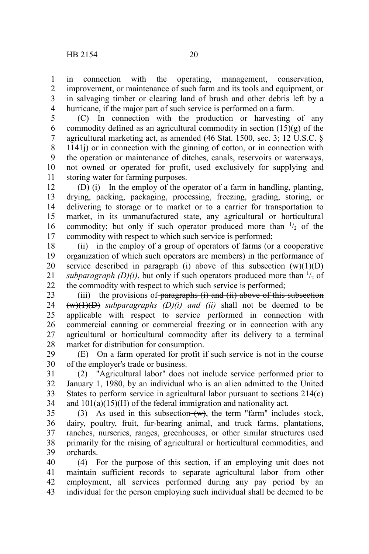in connection with the operating, management, conservation, improvement, or maintenance of such farm and its tools and equipment, or in salvaging timber or clearing land of brush and other debris left by a hurricane, if the major part of such service is performed on a farm. 1 2 3 4

(C) In connection with the production or harvesting of any commodity defined as an agricultural commodity in section (15)(g) of the agricultural marketing act, as amended (46 Stat. 1500, sec. 3; 12 U.S.C. § 1141j) or in connection with the ginning of cotton, or in connection with the operation or maintenance of ditches, canals, reservoirs or waterways, not owned or operated for profit, used exclusively for supplying and storing water for farming purposes. 5 6 7 8 9 10 11

(D) (i) In the employ of the operator of a farm in handling, planting, drying, packing, packaging, processing, freezing, grading, storing, or delivering to storage or to market or to a carrier for transportation to market, in its unmanufactured state, any agricultural or horticultural commodity; but only if such operator produced more than  $\frac{1}{2}$  of the commodity with respect to which such service is performed; 12 13 14 15 16 17

(ii) in the employ of a group of operators of farms (or a cooperative organization of which such operators are members) in the performance of service described in paragraph (i) above of this subsection  $(w)(1)(D)$ subparagraph  $(D)(i)$ , but only if such operators produced more than  $\frac{1}{2}$  of the commodity with respect to which such service is performed; 18 19 20 21 22

(iii) the provisions of paragraphs  $(i)$  and  $(ii)$  above of this subsection  $(w)(1)(D)$  *subparagraphs*  $(D)(i)$  *and (ii)* shall not be deemed to be applicable with respect to service performed in connection with commercial canning or commercial freezing or in connection with any agricultural or horticultural commodity after its delivery to a terminal market for distribution for consumption. 23 24 25 26 27 28

(E) On a farm operated for profit if such service is not in the course of the employer's trade or business. 29 30

(2) "Agricultural labor" does not include service performed prior to January 1, 1980, by an individual who is an alien admitted to the United States to perform service in agricultural labor pursuant to sections 214(c) and 101(a)(15)(H) of the federal immigration and nationality act. 31 32 33 34

(3) As used in this subsection  $(w)$ , the term "farm" includes stock, dairy, poultry, fruit, fur-bearing animal, and truck farms, plantations, ranches, nurseries, ranges, greenhouses, or other similar structures used primarily for the raising of agricultural or horticultural commodities, and orchards. 35 36 37 38 39

(4) For the purpose of this section, if an employing unit does not maintain sufficient records to separate agricultural labor from other employment, all services performed during any pay period by an individual for the person employing such individual shall be deemed to be 40 41 42 43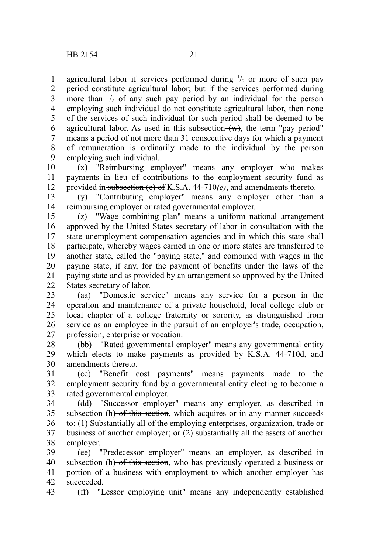agricultural labor if services performed during  $\frac{1}{2}$  or more of such pay period constitute agricultural labor; but if the services performed during more than  $\frac{1}{2}$  of any such pay period by an individual for the person employing such individual do not constitute agricultural labor, then none of the services of such individual for such period shall be deemed to be agricultural labor. As used in this subsection  $(w)$ , the term "pay period" means a period of not more than 31 consecutive days for which a payment of remuneration is ordinarily made to the individual by the person employing such individual. 1 2 3 4 5 6 7 8 9

(x) "Reimbursing employer" means any employer who makes payments in lieu of contributions to the employment security fund as provided in subsection (e) of K.S.A. 44-710*(e)*, and amendments thereto. 10 11 12

(y) "Contributing employer" means any employer other than a reimbursing employer or rated governmental employer. 13 14

(z) "Wage combining plan" means a uniform national arrangement approved by the United States secretary of labor in consultation with the state unemployment compensation agencies and in which this state shall participate, whereby wages earned in one or more states are transferred to another state, called the "paying state," and combined with wages in the paying state, if any, for the payment of benefits under the laws of the paying state and as provided by an arrangement so approved by the United States secretary of labor. 15 16 17 18 19 20 21 22

(aa) "Domestic service" means any service for a person in the operation and maintenance of a private household, local college club or local chapter of a college fraternity or sorority, as distinguished from service as an employee in the pursuit of an employer's trade, occupation, profession, enterprise or vocation. 23 24 25 26 27

(bb) "Rated governmental employer" means any governmental entity which elects to make payments as provided by K.S.A. 44-710d, and amendments thereto. 28 29 30

(cc) "Benefit cost payments" means payments made to the employment security fund by a governmental entity electing to become a rated governmental employer. 31 32 33

(dd) "Successor employer" means any employer, as described in subsection (h) of this section, which acquires or in any manner succeeds to: (1) Substantially all of the employing enterprises, organization, trade or business of another employer; or (2) substantially all the assets of another employer. 34 35 36 37 38

(ee) "Predecessor employer" means an employer, as described in subsection (h) of this section, who has previously operated a business or portion of a business with employment to which another employer has succeeded. 39 40 41 42

(ff) "Lessor employing unit" means any independently established 43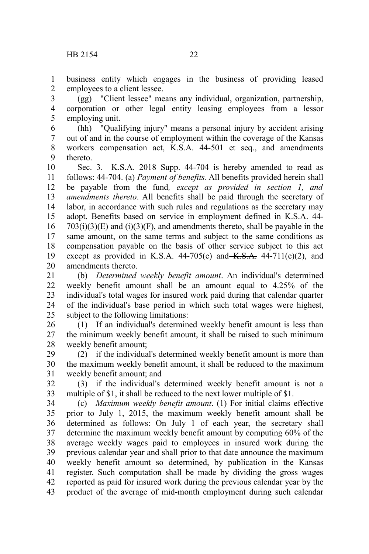business entity which engages in the business of providing leased employees to a client lessee. 1 2

(gg) "Client lessee" means any individual, organization, partnership, corporation or other legal entity leasing employees from a lessor employing unit. 3 4 5

(hh) "Qualifying injury" means a personal injury by accident arising out of and in the course of employment within the coverage of the Kansas workers compensation act, K.S.A. 44-501 et seq., and amendments thereto. 6 7 8 9

Sec. 3. K.S.A. 2018 Supp. 44-704 is hereby amended to read as follows: 44-704. (a) *Payment of benefits*. All benefits provided herein shall be payable from the fund*, except as provided in section 1, and amendments thereto*. All benefits shall be paid through the secretary of labor, in accordance with such rules and regulations as the secretary may adopt. Benefits based on service in employment defined in K.S.A. 44-  $703(i)(3)(E)$  and  $(i)(3)(F)$ , and amendments thereto, shall be payable in the same amount, on the same terms and subject to the same conditions as compensation payable on the basis of other service subject to this act except as provided in K.S.A.  $44-705(e)$  and  $K.S.A.$   $44-711(e)(2)$ , and amendments thereto. 10 11 12 13 14 15 16 17 18 19 20

(b) *Determined weekly benefit amount*. An individual's determined weekly benefit amount shall be an amount equal to 4.25% of the individual's total wages for insured work paid during that calendar quarter of the individual's base period in which such total wages were highest, subject to the following limitations: 21 22 23 24 25

(1) If an individual's determined weekly benefit amount is less than the minimum weekly benefit amount, it shall be raised to such minimum weekly benefit amount; 26 27 28

(2) if the individual's determined weekly benefit amount is more than the maximum weekly benefit amount, it shall be reduced to the maximum weekly benefit amount; and 29 30 31

(3) if the individual's determined weekly benefit amount is not a multiple of \$1, it shall be reduced to the next lower multiple of \$1. 32 33

(c) *Maximum weekly benefit amount*. (1) For initial claims effective prior to July 1, 2015, the maximum weekly benefit amount shall be determined as follows: On July 1 of each year, the secretary shall determine the maximum weekly benefit amount by computing 60% of the average weekly wages paid to employees in insured work during the previous calendar year and shall prior to that date announce the maximum weekly benefit amount so determined, by publication in the Kansas register. Such computation shall be made by dividing the gross wages reported as paid for insured work during the previous calendar year by the product of the average of mid-month employment during such calendar 34 35 36 37 38 39 40 41 42 43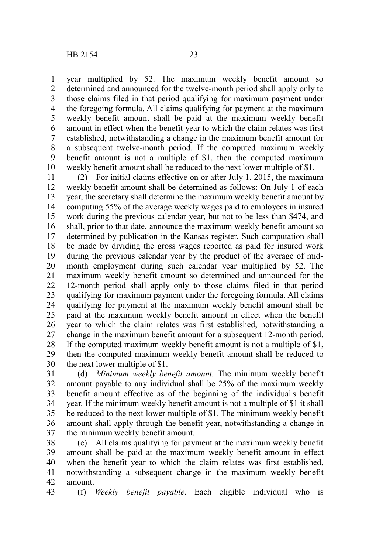year multiplied by 52. The maximum weekly benefit amount so determined and announced for the twelve-month period shall apply only to those claims filed in that period qualifying for maximum payment under the foregoing formula. All claims qualifying for payment at the maximum weekly benefit amount shall be paid at the maximum weekly benefit amount in effect when the benefit year to which the claim relates was first established, notwithstanding a change in the maximum benefit amount for a subsequent twelve-month period. If the computed maximum weekly benefit amount is not a multiple of \$1, then the computed maximum weekly benefit amount shall be reduced to the next lower multiple of \$1. 1 2 3 4 5 6 7 8 9 10

(2) For initial claims effective on or after July 1, 2015, the maximum weekly benefit amount shall be determined as follows: On July 1 of each year, the secretary shall determine the maximum weekly benefit amount by computing 55% of the average weekly wages paid to employees in insured work during the previous calendar year, but not to be less than \$474, and shall, prior to that date, announce the maximum weekly benefit amount so determined by publication in the Kansas register. Such computation shall be made by dividing the gross wages reported as paid for insured work during the previous calendar year by the product of the average of midmonth employment during such calendar year multiplied by 52. The maximum weekly benefit amount so determined and announced for the 12-month period shall apply only to those claims filed in that period qualifying for maximum payment under the foregoing formula. All claims qualifying for payment at the maximum weekly benefit amount shall be paid at the maximum weekly benefit amount in effect when the benefit year to which the claim relates was first established, notwithstanding a change in the maximum benefit amount for a subsequent 12-month period. If the computed maximum weekly benefit amount is not a multiple of \$1, then the computed maximum weekly benefit amount shall be reduced to the next lower multiple of \$1. 11 12 13 14 15 16 17 18 19 20 21 22 23 24 25 26 27 28 29 30

(d) *Minimum weekly benefit amount.* The minimum weekly benefit amount payable to any individual shall be 25% of the maximum weekly benefit amount effective as of the beginning of the individual's benefit year. If the minimum weekly benefit amount is not a multiple of \$1 it shall be reduced to the next lower multiple of \$1. The minimum weekly benefit amount shall apply through the benefit year, notwithstanding a change in the minimum weekly benefit amount. 31 32 33 34 35 36 37

(e) All claims qualifying for payment at the maximum weekly benefit amount shall be paid at the maximum weekly benefit amount in effect when the benefit year to which the claim relates was first established, notwithstanding a subsequent change in the maximum weekly benefit amount. 38 39 40 41 42

(f) *Weekly benefit payable*. Each eligible individual who is 43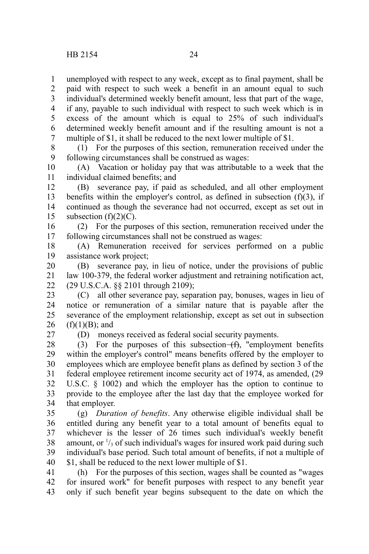unemployed with respect to any week, except as to final payment, shall be paid with respect to such week a benefit in an amount equal to such 1 2

individual's determined weekly benefit amount, less that part of the wage, if any, payable to such individual with respect to such week which is in 3 4

excess of the amount which is equal to 25% of such individual's determined weekly benefit amount and if the resulting amount is not a multiple of \$1, it shall be reduced to the next lower multiple of \$1. 5 6 7

(1) For the purposes of this section, remuneration received under the following circumstances shall be construed as wages: 8 9

(A) Vacation or holiday pay that was attributable to a week that the individual claimed benefits; and 10 11

(B) severance pay, if paid as scheduled, and all other employment benefits within the employer's control, as defined in subsection  $(f)(3)$ , if continued as though the severance had not occurred, except as set out in subsection  $(f)(2)(C)$ . 12 13 14 15

(2) For the purposes of this section, remuneration received under the following circumstances shall not be construed as wages: 16 17

(A) Remuneration received for services performed on a public assistance work project; 18 19

(B) severance pay, in lieu of notice, under the provisions of public law 100-379, the federal worker adjustment and retraining notification act, (29 U.S.C.A. §§ 2101 through 2109); 20 21 22

(C) all other severance pay, separation pay, bonuses, wages in lieu of notice or remuneration of a similar nature that is payable after the severance of the employment relationship, except as set out in subsection  $(f)(1)(B)$ ; and 23 24 25 26

27

(D) moneys received as federal social security payments.

(3) For the purposes of this subsection  $(f)$ , "employment benefits within the employer's control" means benefits offered by the employer to employees which are employee benefit plans as defined by section 3 of the federal employee retirement income security act of 1974, as amended, (29 U.S.C. § 1002) and which the employer has the option to continue to provide to the employee after the last day that the employee worked for that employer. 28 29 30 31 32 33 34

(g) *Duration of benefits*. Any otherwise eligible individual shall be entitled during any benefit year to a total amount of benefits equal to whichever is the lesser of 26 times such individual's weekly benefit amount, or  $\frac{1}{3}$  of such individual's wages for insured work paid during such individual's base period. Such total amount of benefits, if not a multiple of \$1, shall be reduced to the next lower multiple of \$1. 35 36 37 38 39 40

(h) For the purposes of this section, wages shall be counted as "wages for insured work" for benefit purposes with respect to any benefit year only if such benefit year begins subsequent to the date on which the 41 42 43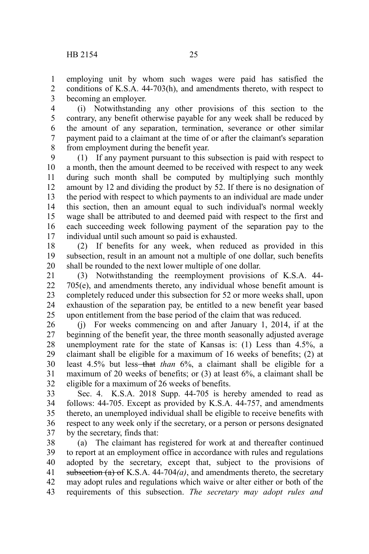employing unit by whom such wages were paid has satisfied the conditions of K.S.A. 44-703(h), and amendments thereto, with respect to becoming an employer. 1 2 3

(i) Notwithstanding any other provisions of this section to the contrary, any benefit otherwise payable for any week shall be reduced by the amount of any separation, termination, severance or other similar payment paid to a claimant at the time of or after the claimant's separation from employment during the benefit year. 4 5 6 7 8

(1) If any payment pursuant to this subsection is paid with respect to a month, then the amount deemed to be received with respect to any week during such month shall be computed by multiplying such monthly amount by 12 and dividing the product by 52. If there is no designation of the period with respect to which payments to an individual are made under this section, then an amount equal to such individual's normal weekly wage shall be attributed to and deemed paid with respect to the first and each succeeding week following payment of the separation pay to the individual until such amount so paid is exhausted. 9 10 11 12 13 14 15 16 17

(2) If benefits for any week, when reduced as provided in this subsection, result in an amount not a multiple of one dollar, such benefits shall be rounded to the next lower multiple of one dollar. 18 19 20

(3) Notwithstanding the reemployment provisions of K.S.A. 44- 705(e), and amendments thereto, any individual whose benefit amount is completely reduced under this subsection for 52 or more weeks shall, upon exhaustion of the separation pay, be entitled to a new benefit year based upon entitlement from the base period of the claim that was reduced. 21 22 23 24 25

(j) For weeks commencing on and after January 1, 2014, if at the beginning of the benefit year, the three month seasonally adjusted average unemployment rate for the state of Kansas is: (1) Less than 4.5%, a claimant shall be eligible for a maximum of 16 weeks of benefits; (2) at least 4.5% but less—that *than* 6%, a claimant shall be eligible for a maximum of 20 weeks of benefits; or (3) at least 6%, a claimant shall be eligible for a maximum of 26 weeks of benefits. 26 27 28 29 30 31 32

Sec. 4. K.S.A. 2018 Supp. 44-705 is hereby amended to read as follows: 44-705. Except as provided by K.S.A. 44-757, and amendments thereto, an unemployed individual shall be eligible to receive benefits with respect to any week only if the secretary, or a person or persons designated by the secretary, finds that: 33 34 35 36 37

(a) The claimant has registered for work at and thereafter continued to report at an employment office in accordance with rules and regulations adopted by the secretary, except that, subject to the provisions of subsection  $(a)$  of K.S.A. 44-704 $(a)$ , and amendments thereto, the secretary may adopt rules and regulations which waive or alter either or both of the requirements of this subsection. *The secretary may adopt rules and* 38 39 40 41 42 43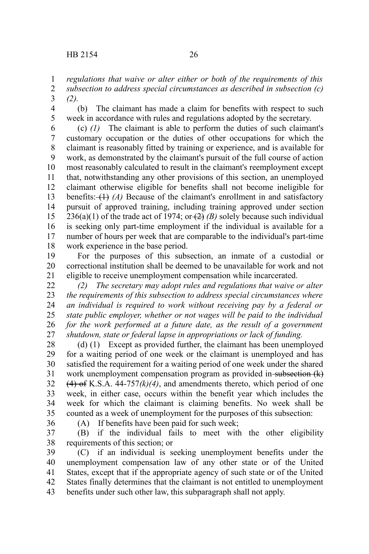*regulations that waive or alter either or both of the requirements of this subsection to address special circumstances as described in subsection (c) (2).* 1 2 3

- 4
- 5

(b) The claimant has made a claim for benefits with respect to such week in accordance with rules and regulations adopted by the secretary.

(c) *(1)* The claimant is able to perform the duties of such claimant's customary occupation or the duties of other occupations for which the claimant is reasonably fitted by training or experience, and is available for work, as demonstrated by the claimant's pursuit of the full course of action most reasonably calculated to result in the claimant's reemployment except that, notwithstanding any other provisions of this section, an unemployed claimant otherwise eligible for benefits shall not become ineligible for benefits: (1) *(A)* Because of the claimant's enrollment in and satisfactory pursuit of approved training, including training approved under section  $236(a)(1)$  of the trade act of 1974; or  $(2)$  *(B)* solely because such individual is seeking only part-time employment if the individual is available for a number of hours per week that are comparable to the individual's part-time work experience in the base period. 6 7 8 9 10 11 12 13 14 15 16 17 18

For the purposes of this subsection, an inmate of a custodial or correctional institution shall be deemed to be unavailable for work and not eligible to receive unemployment compensation while incarcerated. 19 20 21

*(2) The secretary may adopt rules and regulations that waive or alter the requirements of this subsection to address special circumstances where an individual is required to work without receiving pay by a federal or state public employer, whether or not wages will be paid to the individual for the work performed at a future date, as the result of a government shutdown, state or federal lapse in appropriations or lack of funding.* 22 23 24 25 26 27

(d) (1) Except as provided further, the claimant has been unemployed for a waiting period of one week or the claimant is unemployed and has satisfied the requirement for a waiting period of one week under the shared work unemployment compensation program as provided in subsection  $(k)$  $(4)$  of K.S.A. 44-757 $(k)(4)$ , and amendments thereto, which period of one week, in either case, occurs within the benefit year which includes the week for which the claimant is claiming benefits. No week shall be counted as a week of unemployment for the purposes of this subsection: 28 29 30 31 32 33 34 35

36

(A) If benefits have been paid for such week;

(B) if the individual fails to meet with the other eligibility requirements of this section; or 37 38

(C) if an individual is seeking unemployment benefits under the unemployment compensation law of any other state or of the United States, except that if the appropriate agency of such state or of the United States finally determines that the claimant is not entitled to unemployment benefits under such other law, this subparagraph shall not apply. 39 40 41 42 43